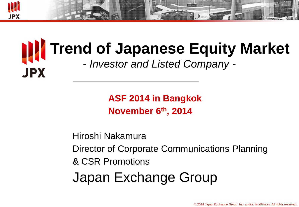

# **Trend of Japanese Equity Market** - *Investor and Listed Company -* **JPX**

**ASF 2014 in Bangkok November 6 th, 2014**

Hiroshi Nakamura Director of Corporate Communications Planning & CSR Promotions Japan Exchange Group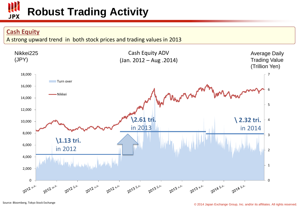

### **Cash Equity**

A strong upward trend in both stock prices and trading values in 2013

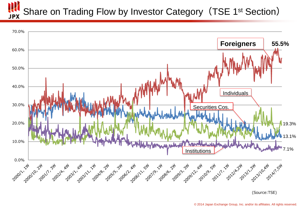### Share on Trading Flow by Investor Category (TSE 1<sup>st</sup> Section) **JPX**





© 2014 Japan Exchange Group, Inc. and/or its affiliates. All rights reserved.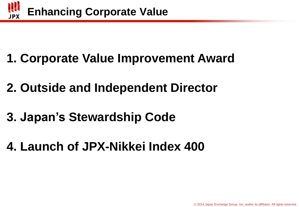

- **1. Corporate Value Improvement Award**
- **2. Outside and Independent Director**
- **3. Japan's Stewardship Code**
- **4. Launch of JPX-Nikkei Index 400**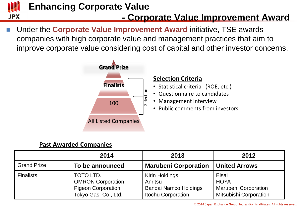

## **Enhancing Corporate Value**

### **- Corporate Value Improvement Award**

 Under the **Corporate Value Improvement Award** initiative, TSE awards companies with high corporate value and management practices that aim to improve corporate value considering cost of capital and other investor concerns.



### **Past Awarded Companies**

|                    | 2014                                                                                      | 2013                                                                                   | 2012                                                                                 |
|--------------------|-------------------------------------------------------------------------------------------|----------------------------------------------------------------------------------------|--------------------------------------------------------------------------------------|
| <b>Grand Prize</b> | To be announced                                                                           | <b>Marubeni Corporation</b>                                                            | <b>United Arrows</b>                                                                 |
| <b>Finalists</b>   | TOTO LTD.<br><b>OMRON Corporation</b><br><b>Pigeon Corporation</b><br>Tokyo Gas Co., Ltd. | Kirin Holdings<br>Anritsu<br><b>Bandai Namco Holdings</b><br><b>Itochu Corporation</b> | Eisai<br><b>HOYA</b><br><b>Marubeni Corporation</b><br><b>Mitsubishi Corporation</b> |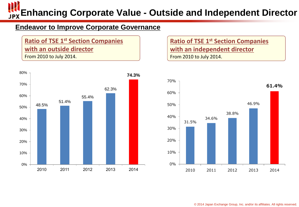**Enhancing Corporate Value - Outside and Independent Director**

### **Endeavor to Improve Corporate Governance**

**Ratio of TSE 1<sup>st</sup> Section Companies with an outside director** From 2010 to July 2014.



**Ratio of TSE 1<sup>st</sup> Section Companies with an independent director** From 2010 to July 2014.

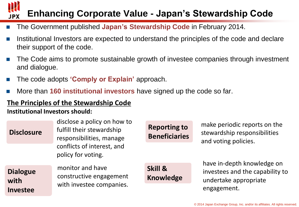#### **Enhancing Corporate Value - Japan's Stewardship Code JPX**

- The Government published Japan's Stewardship Code in February 2014.
- Institutional Investors are expected to understand the principles of the code and declare their support of the code.
- The Code aims to promote sustainable growth of investee companies through investment and dialogue.
- The code adopts **'Comply or Explain'** approach.
- More than **160 institutional investors** have signed up the code so far.

### **The Principles of the Stewardship Code**

### **Institutional Investors should:**

| <b>Disclosure</b>                          | disclose a policy on how to<br>fulfill their stewardship<br>responsibilities, manage | <b>Reporting to</b><br><b>Beneficiaries</b> | make periodic reports on the<br>stewardship responsibilities<br>and voting policies. |  |
|--------------------------------------------|--------------------------------------------------------------------------------------|---------------------------------------------|--------------------------------------------------------------------------------------|--|
|                                            | conflicts of interest, and<br>policy for voting.                                     |                                             | have in-depth knowledge on                                                           |  |
| <b>Dialogue</b><br>with<br><b>Investee</b> | monitor and have<br>constructive engagement<br>with investee companies.              | Skill &<br><b>Knowledge</b>                 | investees and the capability to<br>undertake appropriate<br>engagement.              |  |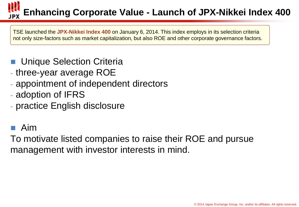# **Enhancing Corporate Value - Launch of JPX-Nikkei Index 400**

TSE launched the **JPX-Nikkei Index 400** on January 6, 2014. This index employs in its selection criteria not only size-factors such as market capitalization, but also ROE and other corporate governance factors.

- Unique Selection Criteria
- three-year average ROE
- appointment of independent directors
- adoption of IFRS
- practice English disclosure

## Aim

To motivate listed companies to raise their ROE and pursue management with investor interests in mind.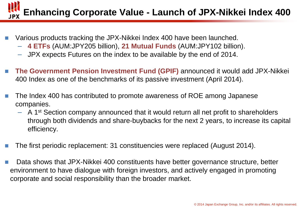# **Enhancing Corporate Value - Launch of JPX-Nikkei Index 400**

- Various products tracking the JPX-Nikkei Index 400 have been launched.
	- **4 ETFs** (AUM:JPY205 billion), **21 Mutual Funds** (AUM:JPY102 billion).
	- JPX expects Futures on the index to be available by the end of 2014.
- **The Government Pension Investment Fund (GPIF)** announced it would add JPX-Nikkei 400 Index as one of the benchmarks of its passive investment (April 2014).
- The Index 400 has contributed to promote awareness of ROE among Japanese companies.
	- A 1<sup>st</sup> Section company announced that it would return all net profit to shareholders through both dividends and share-buybacks for the next 2 years, to increase its capital efficiency.
- The first periodic replacement: 31 constituencies were replaced (August 2014).
- Data shows that JPX-Nikkei 400 constituents have better governance structure, better environment to have dialogue with foreign investors, and actively engaged in promoting corporate and social responsibility than the broader market.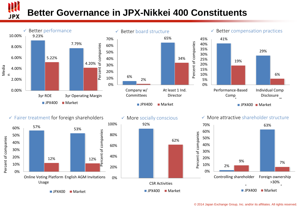# **Better Governance in JPX-Nikkei 400 Constituents**



JPX



 $\rightharpoonup$  JPX400 Market





 $\blacksquare$  JPX400  $\blacksquare$  Market

 $\checkmark$  Fairer treatment for foreign shareholders



 $\blacksquare$  JPX400  $\blacksquare$  Market

#### $\checkmark$  More socially conscious



#### $\checkmark$  More attractive shareholder structure

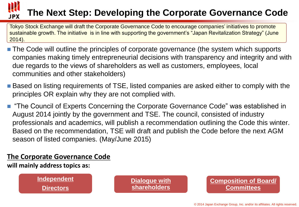### **The Next Step: Developing the Corporate Governance Code** JPX

Tokyo Stock Exchange will draft the Corporate Governance Code to encourage companies' initiatives to promote sustainable growth. The initiative is in line with supporting the government's "Japan Revitalization Strategy" (June 2014).

- The Code will outline the principles of corporate governance (the system which supports companies making timely entrepreneurial decisions with transparency and integrity and with due regards to the views of shareholders as well as customers, employees, local communities and other stakeholders)
- Based on listing requirements of TSE, listed companies are asked either to comply with the principles OR explain why they are not complied with.
- "The Council of Experts Concerning the Corporate Governance Code" was established in August 2014 jointly by the government and TSE. The council, consisted of industry professionals and academics, will publish a recommendation outlining the Code this winter. Based on the recommendation, TSE will draft and publish the Code before the next AGM season of listed companies. (May/June 2015)

### **The Corporate Governance Code**

**will mainly address topics as:**